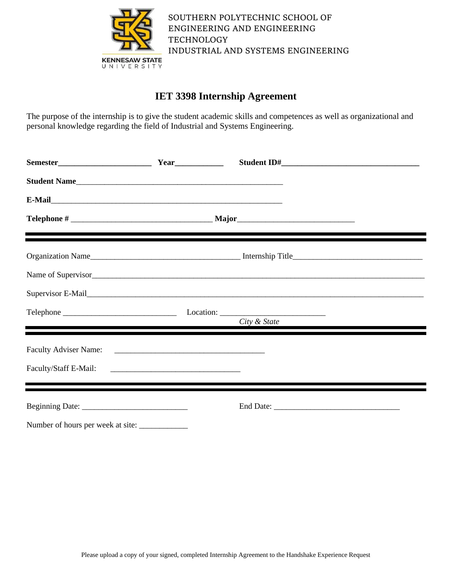

# **IET 3398 Internship Agreement**

The purpose of the internship is to give the student academic skills and competences as well as organizational and personal knowledge regarding the field of Industrial and Systems Engineering.

| Student Name                      |                                                                                                                                                                                                                                                                                        |  |
|-----------------------------------|----------------------------------------------------------------------------------------------------------------------------------------------------------------------------------------------------------------------------------------------------------------------------------------|--|
|                                   |                                                                                                                                                                                                                                                                                        |  |
|                                   |                                                                                                                                                                                                                                                                                        |  |
|                                   |                                                                                                                                                                                                                                                                                        |  |
|                                   | Name of Supervisor                                                                                                                                                                                                                                                                     |  |
|                                   | Supervisor E-Mail <b>Supervisor</b> E-Mail <b>Supervisor</b> E-Mail <b>Supervisor</b> E-Mail <b>Supervisor</b> E-Mail <b>Supervisor</b> E-Mail <b>Supervisor</b> E-Mail <b>Supervisor</b> E-Mail <b>Supervisor</b> E-Mail <b>Supervisor</b> E-Mail <b>Supervisor</b> E-Mail <b>Sup</b> |  |
|                                   | City & State                                                                                                                                                                                                                                                                           |  |
|                                   |                                                                                                                                                                                                                                                                                        |  |
|                                   | <u> 1980 - Johann Stoff, amerikansk fotballstvansk fotballstvansk fotballstvansk fotballstvansk fotballstvansk fo</u>                                                                                                                                                                  |  |
|                                   |                                                                                                                                                                                                                                                                                        |  |
| Number of hours per week at site: |                                                                                                                                                                                                                                                                                        |  |